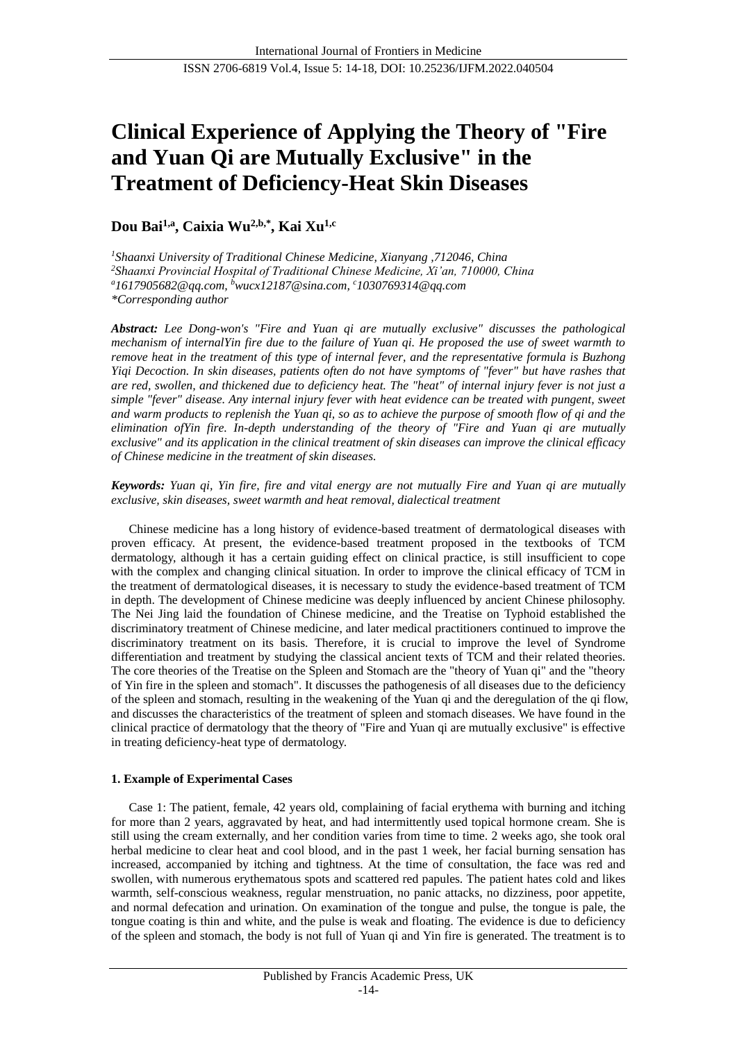# **Clinical Experience of Applying the Theory of "Fire and Yuan Qi are Mutually Exclusive" in the Treatment of Deficiency-Heat Skin Diseases**

**Dou Bai1,a, Caixia Wu2,b,\* , Kai Xu1,c**

*<sup>1</sup>Shaanxi University of Traditional Chinese Medicine, Xianyang ,712046, China <sup>2</sup>Shaanxi Provincial Hospital of Traditional Chinese Medicine, Xi'an, 710000, China <sup>a</sup>[1617905682@qq.com,](mailto:1617905682@qq.com) <sup>b</sup>[wucx12187@sina.com,](mailto:wucx12187@sina.com)  <sup>c</sup>1030769314@qq.com \*Corresponding author*

*Abstract: Lee Dong-won's "Fire and Yuan qi are mutually exclusive" discusses the pathological mechanism of internalYin fire due to the failure of Yuan qi. He proposed the use of sweet warmth to remove heat in the treatment of this type of internal fever, and the representative formula is Buzhong Yiqi Decoction. In skin diseases, patients often do not have symptoms of "fever" but have rashes that are red, swollen, and thickened due to deficiency heat. The "heat" of internal injury fever is not just a simple "fever" disease. Any internal injury fever with heat evidence can be treated with pungent, sweet and warm products to replenish the Yuan qi, so as to achieve the purpose of smooth flow of qi and the elimination ofYin fire. In-depth understanding of the theory of "Fire and Yuan qi are mutually exclusive" and its application in the clinical treatment of skin diseases can improve the clinical efficacy of Chinese medicine in the treatment of skin diseases.*

*Keywords: Yuan qi, Yin fire, fire and vital energy are not mutually Fire and Yuan qi are mutually exclusive, skin diseases, sweet warmth and heat removal, dialectical treatment*

Chinese medicine has a long history of evidence-based treatment of dermatological diseases with proven efficacy. At present, the evidence-based treatment proposed in the textbooks of TCM dermatology, although it has a certain guiding effect on clinical practice, is still insufficient to cope with the complex and changing clinical situation. In order to improve the clinical efficacy of TCM in the treatment of dermatological diseases, it is necessary to study the evidence-based treatment of TCM in depth. The development of Chinese medicine was deeply influenced by ancient Chinese philosophy. The Nei Jing laid the foundation of Chinese medicine, and the Treatise on Typhoid established the discriminatory treatment of Chinese medicine, and later medical practitioners continued to improve the discriminatory treatment on its basis. Therefore, it is crucial to improve the level of Syndrome differentiation and treatment by studying the classical ancient texts of TCM and their related theories. The core theories of the Treatise on the Spleen and Stomach are the "theory of Yuan qi" and the "theory of Yin fire in the spleen and stomach". It discusses the pathogenesis of all diseases due to the deficiency of the spleen and stomach, resulting in the weakening of the Yuan qi and the deregulation of the qi flow, and discusses the characteristics of the treatment of spleen and stomach diseases. We have found in the clinical practice of dermatology that the theory of "Fire and Yuan qi are mutually exclusive" is effective in treating deficiency-heat type of dermatology.

## **1. Example of Experimental Cases**

Case 1: The patient, female, 42 years old, complaining of facial erythema with burning and itching for more than 2 years, aggravated by heat, and had intermittently used topical hormone cream. She is still using the cream externally, and her condition varies from time to time. 2 weeks ago, she took oral herbal medicine to clear heat and cool blood, and in the past 1 week, her facial burning sensation has increased, accompanied by itching and tightness. At the time of consultation, the face was red and swollen, with numerous erythematous spots and scattered red papules. The patient hates cold and likes warmth, self-conscious weakness, regular menstruation, no panic attacks, no dizziness, poor appetite, and normal defecation and urination. On examination of the tongue and pulse, the tongue is pale, the tongue coating is thin and white, and the pulse is weak and floating. The evidence is due to deficiency of the spleen and stomach, the body is not full of Yuan qi and Yin fire is generated. The treatment is to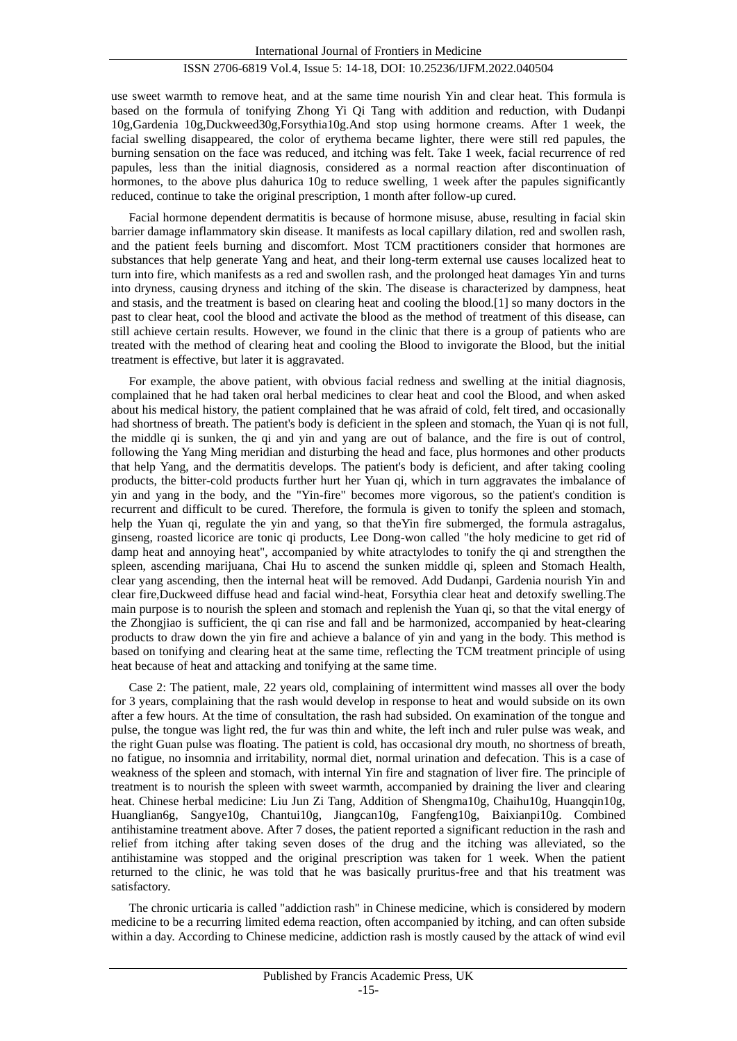# ISSN 2706-6819 Vol.4, Issue 5: 14-18, DOI: 10.25236/IJFM.2022.040504

use sweet warmth to remove heat, and at the same time nourish Yin and clear heat. This formula is based on the formula of tonifying Zhong Yi Qi Tang with addition and reduction, with Dudanpi 10g,Gardenia 10g,Duckweed30g,Forsythia10g.And stop using hormone creams. After 1 week, the facial swelling disappeared, the color of erythema became lighter, there were still red papules, the burning sensation on the face was reduced, and itching was felt. Take 1 week, facial recurrence of red papules, less than the initial diagnosis, considered as a normal reaction after discontinuation of hormones, to the above plus dahurica 10g to reduce swelling, 1 week after the papules significantly reduced, continue to take the original prescription, 1 month after follow-up cured.

Facial hormone dependent dermatitis is because of hormone misuse, abuse, resulting in facial skin barrier damage inflammatory skin disease. It manifests as local capillary dilation, red and swollen rash, and the patient feels burning and discomfort. Most TCM practitioners consider that hormones are substances that help generate Yang and heat, and their long-term external use causes localized heat to turn into fire, which manifests as a red and swollen rash, and the prolonged heat damages Yin and turns into dryness, causing dryness and itching of the skin. The disease is characterized by dampness, heat and stasis, and the treatment is based on clearing heat and cooling the blood.[1] so many doctors in the past to clear heat, cool the blood and activate the blood as the method of treatment of this disease, can still achieve certain results. However, we found in the clinic that there is a group of patients who are treated with the method of clearing heat and cooling the Blood to invigorate the Blood, but the initial treatment is effective, but later it is aggravated.

For example, the above patient, with obvious facial redness and swelling at the initial diagnosis, complained that he had taken oral herbal medicines to clear heat and cool the Blood, and when asked about his medical history, the patient complained that he was afraid of cold, felt tired, and occasionally had shortness of breath. The patient's body is deficient in the spleen and stomach, the Yuan qi is not full, the middle qi is sunken, the qi and yin and yang are out of balance, and the fire is out of control, following the Yang Ming meridian and disturbing the head and face, plus hormones and other products that help Yang, and the dermatitis develops. The patient's body is deficient, and after taking cooling products, the bitter-cold products further hurt her Yuan qi, which in turn aggravates the imbalance of yin and yang in the body, and the "Yin-fire" becomes more vigorous, so the patient's condition is recurrent and difficult to be cured. Therefore, the formula is given to tonify the spleen and stomach, help the Yuan qi, regulate the yin and yang, so that the Yin fire submerged, the formula astragalus, ginseng, roasted licorice are tonic qi products, Lee Dong-won called "the holy medicine to get rid of damp heat and annoying heat", accompanied by white atractylodes to tonify the qi and strengthen the spleen, ascending marijuana, Chai Hu to ascend the sunken middle qi, spleen and Stomach Health, clear yang ascending, then the internal heat will be removed. Add Dudanpi, Gardenia nourish Yin and clear fire,Duckweed diffuse head and facial wind-heat, Forsythia clear heat and detoxify swelling.The main purpose is to nourish the spleen and stomach and replenish the Yuan qi, so that the vital energy of the Zhongjiao is sufficient, the qi can rise and fall and be harmonized, accompanied by heat-clearing products to draw down the yin fire and achieve a balance of yin and yang in the body. This method is based on tonifying and clearing heat at the same time, reflecting the TCM treatment principle of using heat because of heat and attacking and tonifying at the same time.

Case 2: The patient, male, 22 years old, complaining of intermittent wind masses all over the body for 3 years, complaining that the rash would develop in response to heat and would subside on its own after a few hours. At the time of consultation, the rash had subsided. On examination of the tongue and pulse, the tongue was light red, the fur was thin and white, the left inch and ruler pulse was weak, and the right Guan pulse was floating. The patient is cold, has occasional dry mouth, no shortness of breath, no fatigue, no insomnia and irritability, normal diet, normal urination and defecation. This is a case of weakness of the spleen and stomach, with internal Yin fire and stagnation of liver fire. The principle of treatment is to nourish the spleen with sweet warmth, accompanied by draining the liver and clearing heat. Chinese herbal medicine: Liu Jun Zi Tang, Addition of Shengma10g, Chaihu10g, Huangqin10g, Huanglian6g, Sangye10g, Chantui10g, Jiangcan10g, Fangfeng10g, Baixianpi10g. Combined antihistamine treatment above. After 7 doses, the patient reported a significant reduction in the rash and relief from itching after taking seven doses of the drug and the itching was alleviated, so the antihistamine was stopped and the original prescription was taken for 1 week. When the patient returned to the clinic, he was told that he was basically pruritus-free and that his treatment was satisfactory.

The chronic urticaria is called "addiction rash" in Chinese medicine, which is considered by modern medicine to be a recurring limited edema reaction, often accompanied by itching, and can often subside within a day. According to Chinese medicine, addiction rash is mostly caused by the attack of wind evil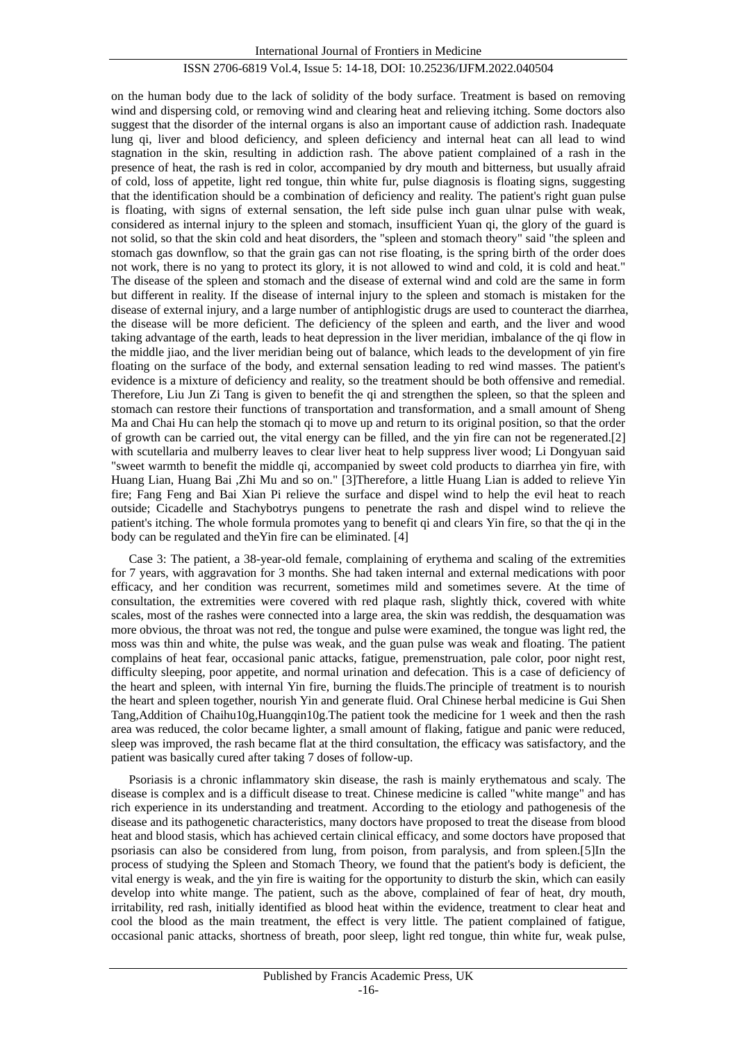#### ISSN 2706-6819 Vol.4, Issue 5: 14-18, DOI: 10.25236/IJFM.2022.040504

on the human body due to the lack of solidity of the body surface. Treatment is based on removing wind and dispersing cold, or removing wind and clearing heat and relieving itching. Some doctors also suggest that the disorder of the internal organs is also an important cause of addiction rash. Inadequate lung qi, liver and blood deficiency, and spleen deficiency and internal heat can all lead to wind stagnation in the skin, resulting in addiction rash. The above patient complained of a rash in the presence of heat, the rash is red in color, accompanied by dry mouth and bitterness, but usually afraid of cold, loss of appetite, light red tongue, thin white fur, pulse diagnosis is floating signs, suggesting that the identification should be a combination of deficiency and reality. The patient's right guan pulse is floating, with signs of external sensation, the left side pulse inch guan ulnar pulse with weak, considered as internal injury to the spleen and stomach, insufficient Yuan qi, the glory of the guard is not solid, so that the skin cold and heat disorders, the "spleen and stomach theory" said "the spleen and stomach gas downflow, so that the grain gas can not rise floating, is the spring birth of the order does not work, there is no yang to protect its glory, it is not allowed to wind and cold, it is cold and heat." The disease of the spleen and stomach and the disease of external wind and cold are the same in form but different in reality. If the disease of internal injury to the spleen and stomach is mistaken for the disease of external injury, and a large number of antiphlogistic drugs are used to counteract the diarrhea, the disease will be more deficient. The deficiency of the spleen and earth, and the liver and wood taking advantage of the earth, leads to heat depression in the liver meridian, imbalance of the qi flow in the middle jiao, and the liver meridian being out of balance, which leads to the development of yin fire floating on the surface of the body, and external sensation leading to red wind masses. The patient's evidence is a mixture of deficiency and reality, so the treatment should be both offensive and remedial. Therefore, Liu Jun Zi Tang is given to benefit the qi and strengthen the spleen, so that the spleen and stomach can restore their functions of transportation and transformation, and a small amount of Sheng Ma and Chai Hu can help the stomach qi to move up and return to its original position, so that the order of growth can be carried out, the vital energy can be filled, and the yin fire can not be regenerated.[2] with scutellaria and mulberry leaves to clear liver heat to help suppress liver wood; Li Dongyuan said "sweet warmth to benefit the middle qi, accompanied by sweet cold products to diarrhea yin fire, with Huang Lian, Huang Bai ,Zhi Mu and so on." [3]Therefore, a little Huang Lian is added to relieve Yin fire; Fang Feng and Bai Xian Pi relieve the surface and dispel wind to help the evil heat to reach outside; Cicadelle and Stachybotrys pungens to penetrate the rash and dispel wind to relieve the patient's itching. The whole formula promotes yang to benefit qi and clears Yin fire, so that the qi in the body can be regulated and theYin fire can be eliminated. [4]

Case 3: The patient, a 38-year-old female, complaining of erythema and scaling of the extremities for 7 years, with aggravation for 3 months. She had taken internal and external medications with poor efficacy, and her condition was recurrent, sometimes mild and sometimes severe. At the time of consultation, the extremities were covered with red plaque rash, slightly thick, covered with white scales, most of the rashes were connected into a large area, the skin was reddish, the desquamation was more obvious, the throat was not red, the tongue and pulse were examined, the tongue was light red, the moss was thin and white, the pulse was weak, and the guan pulse was weak and floating. The patient complains of heat fear, occasional panic attacks, fatigue, premenstruation, pale color, poor night rest, difficulty sleeping, poor appetite, and normal urination and defecation. This is a case of deficiency of the heart and spleen, with internal Yin fire, burning the fluids.The principle of treatment is to nourish the heart and spleen together, nourish Yin and generate fluid. Oral Chinese herbal medicine is Gui Shen Tang,Addition of Chaihu10g,Huangqin10g.The patient took the medicine for 1 week and then the rash area was reduced, the color became lighter, a small amount of flaking, fatigue and panic were reduced, sleep was improved, the rash became flat at the third consultation, the efficacy was satisfactory, and the patient was basically cured after taking 7 doses of follow-up.

Psoriasis is a chronic inflammatory skin disease, the rash is mainly erythematous and scaly. The disease is complex and is a difficult disease to treat. Chinese medicine is called "white mange" and has rich experience in its understanding and treatment. According to the etiology and pathogenesis of the disease and its pathogenetic characteristics, many doctors have proposed to treat the disease from blood heat and blood stasis, which has achieved certain clinical efficacy, and some doctors have proposed that psoriasis can also be considered from lung, from poison, from paralysis, and from spleen.[5]In the process of studying the Spleen and Stomach Theory, we found that the patient's body is deficient, the vital energy is weak, and the yin fire is waiting for the opportunity to disturb the skin, which can easily develop into white mange. The patient, such as the above, complained of fear of heat, dry mouth, irritability, red rash, initially identified as blood heat within the evidence, treatment to clear heat and cool the blood as the main treatment, the effect is very little. The patient complained of fatigue, occasional panic attacks, shortness of breath, poor sleep, light red tongue, thin white fur, weak pulse,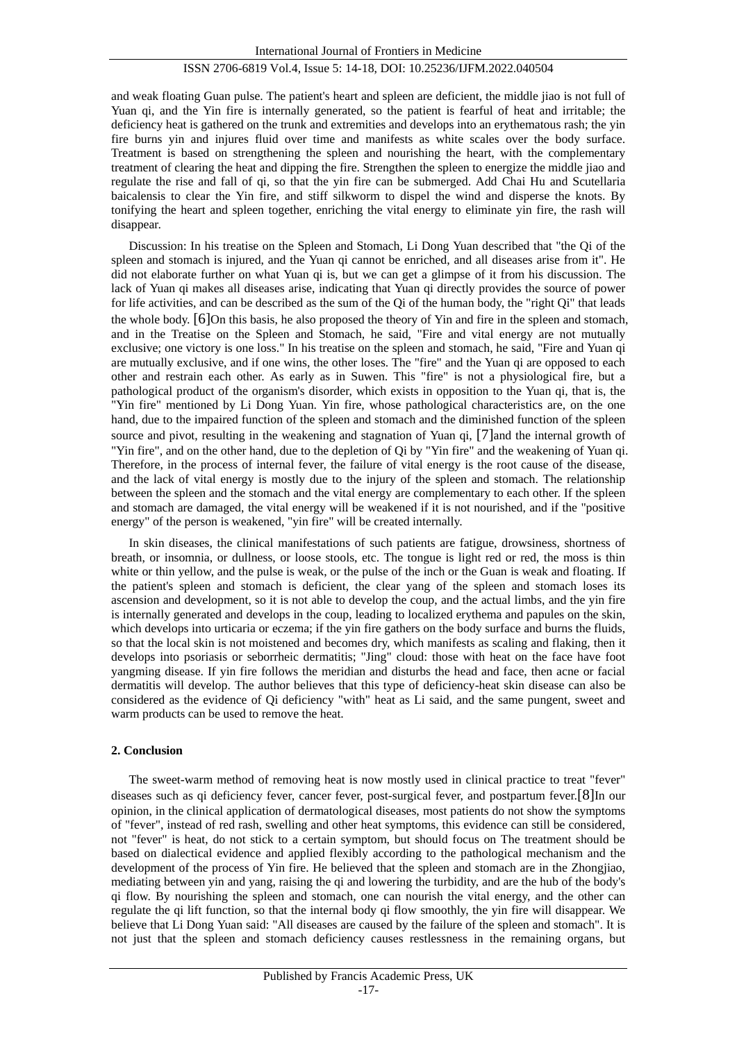## ISSN 2706-6819 Vol.4, Issue 5: 14-18, DOI: 10.25236/IJFM.2022.040504

and weak floating Guan pulse. The patient's heart and spleen are deficient, the middle jiao is not full of Yuan qi, and the Yin fire is internally generated, so the patient is fearful of heat and irritable; the deficiency heat is gathered on the trunk and extremities and develops into an erythematous rash; the yin fire burns yin and injures fluid over time and manifests as white scales over the body surface. Treatment is based on strengthening the spleen and nourishing the heart, with the complementary treatment of clearing the heat and dipping the fire. Strengthen the spleen to energize the middle jiao and regulate the rise and fall of qi, so that the yin fire can be submerged. Add Chai Hu and Scutellaria baicalensis to clear the Yin fire, and stiff silkworm to dispel the wind and disperse the knots. By tonifying the heart and spleen together, enriching the vital energy to eliminate yin fire, the rash will disappear.

Discussion: In his treatise on the Spleen and Stomach, Li Dong Yuan described that "the Qi of the spleen and stomach is injured, and the Yuan qi cannot be enriched, and all diseases arise from it". He did not elaborate further on what Yuan qi is, but we can get a glimpse of it from his discussion. The lack of Yuan qi makes all diseases arise, indicating that Yuan qi directly provides the source of power for life activities, and can be described as the sum of the Qi of the human body, the "right Qi" that leads the whole body. [6]On this basis, he also proposed the theory of Yin and fire in the spleen and stomach, and in the Treatise on the Spleen and Stomach, he said, "Fire and vital energy are not mutually exclusive; one victory is one loss." In his treatise on the spleen and stomach, he said, "Fire and Yuan qi are mutually exclusive, and if one wins, the other loses. The "fire" and the Yuan qi are opposed to each other and restrain each other. As early as in Suwen. This "fire" is not a physiological fire, but a pathological product of the organism's disorder, which exists in opposition to the Yuan qi, that is, the "Yin fire" mentioned by Li Dong Yuan. Yin fire, whose pathological characteristics are, on the one hand, due to the impaired function of the spleen and stomach and the diminished function of the spleen source and pivot, resulting in the weakening and stagnation of Yuan qi, [7] and the internal growth of "Yin fire", and on the other hand, due to the depletion of Qi by "Yin fire" and the weakening of Yuan qi. Therefore, in the process of internal fever, the failure of vital energy is the root cause of the disease, and the lack of vital energy is mostly due to the injury of the spleen and stomach. The relationship between the spleen and the stomach and the vital energy are complementary to each other. If the spleen and stomach are damaged, the vital energy will be weakened if it is not nourished, and if the "positive energy" of the person is weakened, "yin fire" will be created internally.

In skin diseases, the clinical manifestations of such patients are fatigue, drowsiness, shortness of breath, or insomnia, or dullness, or loose stools, etc. The tongue is light red or red, the moss is thin white or thin yellow, and the pulse is weak, or the pulse of the inch or the Guan is weak and floating. If the patient's spleen and stomach is deficient, the clear yang of the spleen and stomach loses its ascension and development, so it is not able to develop the coup, and the actual limbs, and the yin fire is internally generated and develops in the coup, leading to localized erythema and papules on the skin, which develops into urticaria or eczema; if the yin fire gathers on the body surface and burns the fluids, so that the local skin is not moistened and becomes dry, which manifests as scaling and flaking, then it develops into psoriasis or seborrheic dermatitis; "Jing" cloud: those with heat on the face have foot yangming disease. If yin fire follows the meridian and disturbs the head and face, then acne or facial dermatitis will develop. The author believes that this type of deficiency-heat skin disease can also be considered as the evidence of Qi deficiency "with" heat as Li said, and the same pungent, sweet and warm products can be used to remove the heat.

#### **2. Conclusion**

The sweet-warm method of removing heat is now mostly used in clinical practice to treat "fever" diseases such as qi deficiency fever, cancer fever, post-surgical fever, and postpartum fever.[8]In our opinion, in the clinical application of dermatological diseases, most patients do not show the symptoms of "fever", instead of red rash, swelling and other heat symptoms, this evidence can still be considered, not "fever" is heat, do not stick to a certain symptom, but should focus on The treatment should be based on dialectical evidence and applied flexibly according to the pathological mechanism and the development of the process of Yin fire. He believed that the spleen and stomach are in the Zhongjiao, mediating between yin and yang, raising the qi and lowering the turbidity, and are the hub of the body's qi flow. By nourishing the spleen and stomach, one can nourish the vital energy, and the other can regulate the qi lift function, so that the internal body qi flow smoothly, the yin fire will disappear. We believe that Li Dong Yuan said: "All diseases are caused by the failure of the spleen and stomach". It is not just that the spleen and stomach deficiency causes restlessness in the remaining organs, but